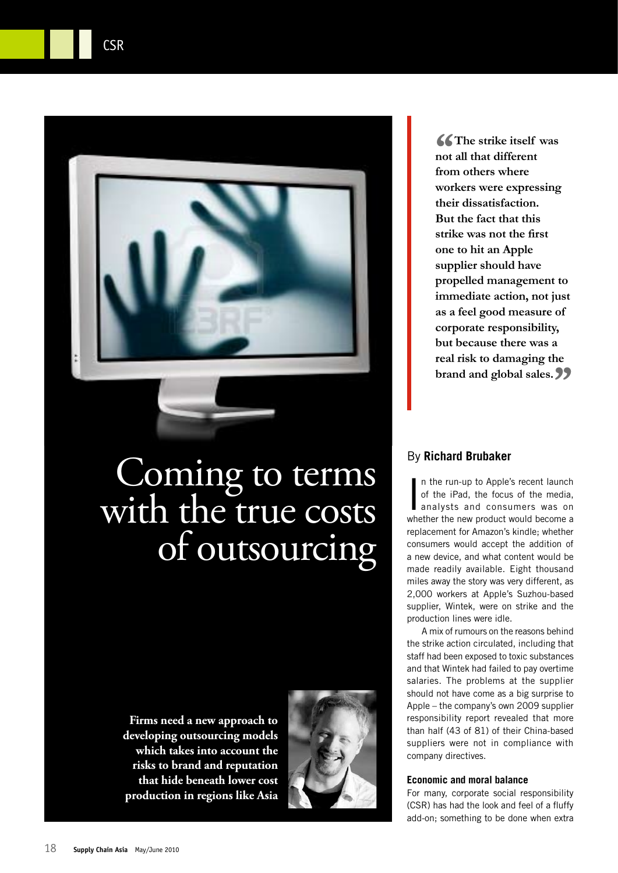

CSR

# Coming to terms with the true costs of outsourcing

**Firms need a new approach to developing outsourcing models which takes into account the risks to brand and reputation that hide beneath lower cost production in regions like Asia**



"**The strike itself was not all that different from others where workers were expressing their dissatisfaction. But the fact that this strike was not the first one to hit an Apple supplier should have propelled management to immediate action, not just as a feel good measure of corporate responsibility, but because there was a real risk to damaging the brand and global sales.** "

## By **Richard Brubaker**

In the run-up to Apple's recent launch<br>of the iPad, the focus of the media,<br>analysts and consumers was on<br>whether the new product would become a n the run-up to Apple's recent launch of the iPad, the focus of the media, analysts and consumers was on replacement for Amazon's kindle; whether consumers would accept the addition of a new device, and what content would be made readily available. Eight thousand miles away the story was very different, as 2,000 workers at Apple's Suzhou-based supplier, Wintek, were on strike and the production lines were idle.

A mix of rumours on the reasons behind the strike action circulated, including that staff had been exposed to toxic substances and that Wintek had failed to pay overtime salaries. The problems at the supplier should not have come as a big surprise to Apple – the company's own 2009 supplier responsibility report revealed that more than half (43 of 81) of their China-based suppliers were not in compliance with company directives.

## **Economic and moral balance**

For many, corporate social responsibility (CSR) has had the look and feel of a fluffy add-on; something to be done when extra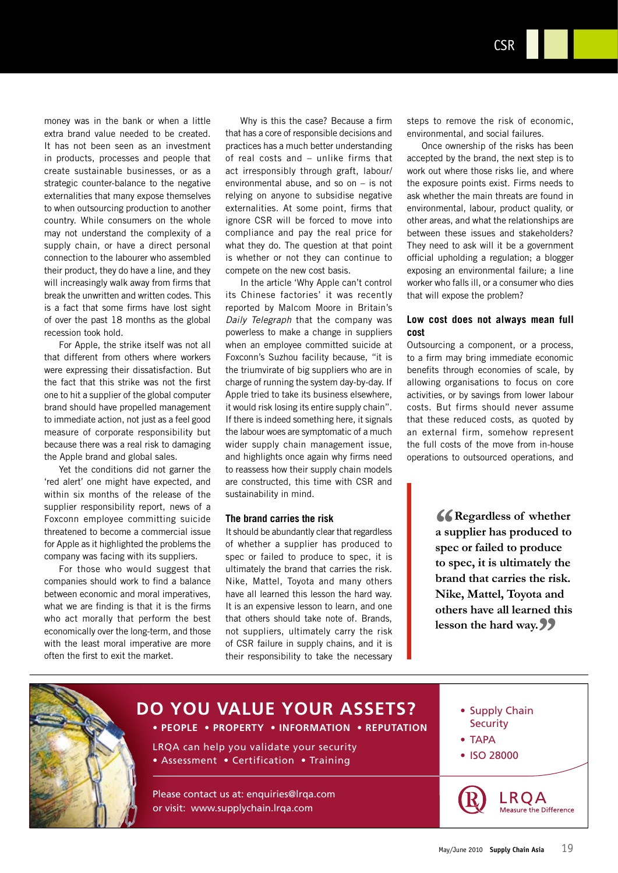**CSR** 

money was in the bank or when a little extra brand value needed to be created. It has not been seen as an investment in products, processes and people that create sustainable businesses, or as a strategic counter-balance to the negative externalities that many expose themselves to when outsourcing production to another country. While consumers on the whole may not understand the complexity of a supply chain, or have a direct personal connection to the labourer who assembled their product, they do have a line, and they will increasingly walk away from firms that break the unwritten and written codes. This is a fact that some firms have lost sight of over the past 18 months as the global recession took hold.

For Apple, the strike itself was not all that different from others where workers were expressing their dissatisfaction. But the fact that this strike was not the first one to hit a supplier of the global computer brand should have propelled management to immediate action, not just as a feel good measure of corporate responsibility but because there was a real risk to damaging the Apple brand and global sales.

Yet the conditions did not garner the 'red alert' one might have expected, and within six months of the release of the supplier responsibility report, news of a Foxconn employee committing suicide threatened to become a commercial issue for Apple as it highlighted the problems the company was facing with its suppliers.

For those who would suggest that companies should work to find a balance between economic and moral imperatives. what we are finding is that it is the firms who act morally that perform the best economically over the long-term, and those with the least moral imperative are more often the first to exit the market.

Why is this the case? Because a firm that has a core of responsible decisions and practices has a much better understanding of real costs and - unlike firms that act irresponsibly through graft, labour/ environmental abuse, and so on  $-$  is not relying on anyone to subsidise negative externalities. At some point, firms that ignore CSR will be forced to move into compliance and pay the real price for what they do. The question at that point is whether or not they can continue to compete on the new cost basis.

In the article 'Why Apple can't control its Chinese factories' it was recently reported by Malcom Moore in Britain's Daily Telegraph that the company was powerless to make a change in suppliers when an employee committed suicide at Foxconn's Suzhou facility because, "it is the triumvirate of big suppliers who are in charge of running the system day-by-day. If Apple tried to take its business elsewhere, it would risk losing its entire supply chain". If there is indeed something here, it signals the labour woes are symptomatic of a much wider supply chain management issue, and highlights once again why firms need to reassess how their supply chain models are constructed, this time with CSR and sustainability in mind.

#### The brand carries the risk

It should be abundantly clear that regardless of whether a supplier has produced to spec or failed to produce to spec, it is ultimately the brand that carries the risk. Nike, Mattel, Toyota and many others have all learned this lesson the hard way. It is an expensive lesson to learn, and one that others should take note of. Brands, not suppliers, ultimately carry the risk of CSR failure in supply chains, and it is their responsibility to take the necessary

steps to remove the risk of economic, environmental, and social failures.

Once ownership of the risks has been accepted by the brand, the next step is to work out where those risks lie, and where the exposure points exist. Firms needs to ask whether the main threats are found in environmental, labour, product quality, or other areas, and what the relationships are between these issues and stakeholders? They need to ask will it be a government official upholding a regulation; a blogger exposing an environmental failure; a line worker who falls ill, or a consumer who dies that will expose the problem?

## Low cost does not always mean full cost

Outsourcing a component, or a process, to a firm may bring immediate economic benefits through economies of scale, by allowing organisations to focus on core activities, or by savings from lower labour costs. But firms should never assume that these reduced costs, as quoted by an external firm, somehow represent the full costs of the move from in-house operations to outsourced operations, and

> **K** Regardless of whether a supplier has produced to spec or failed to produce to spec, it is ultimately the brand that carries the risk. Nike, Mattel, Toyota and others have all learned this lesson the hard way. **22**



## DO YOU VALUE YOUR ASSETS? • PEOPLE • PROPERTY • INFORMATION • REPUTATION

LRQA can help you validate your security • Assessment • Certification • Training

Please contact us at: enquiries@Irga.com or visit: www.supplychain.lrga.com



- $\bullet$  TAPA
- ISO 28000